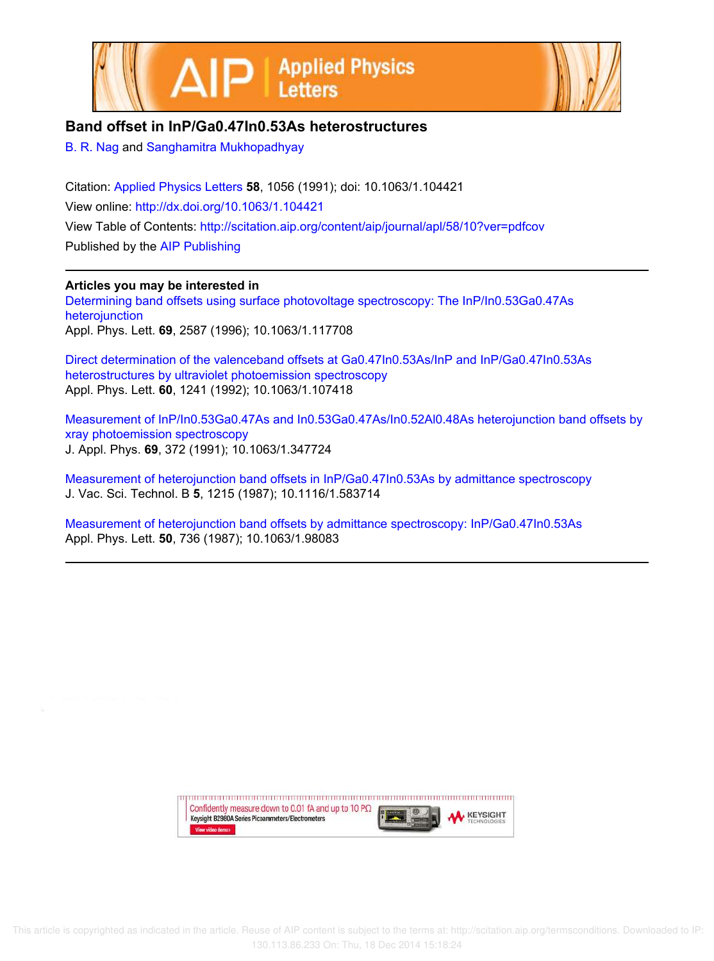



## **Band offset in InP/Ga0.47In0.53As heterostructures**

B. R. Nag and Sanghamitra Mukhopadhyay

Citation: Applied Physics Letters **58**, 1056 (1991); doi: 10.1063/1.104421 View online: http://dx.doi.org/10.1063/1.104421 View Table of Contents: http://scitation.aip.org/content/aip/journal/apl/58/10?ver=pdfcov Published by the AIP Publishing

## **Articles you may be interested in**

Determining band offsets using surface photovoltage spectroscopy: The InP/In0.53Ga0.47As heterojunction Appl. Phys. Lett. **69**, 2587 (1996); 10.1063/1.117708

Direct determination of the valenceband offsets at Ga0.47In0.53As/InP and InP/Ga0.47In0.53As heterostructures by ultraviolet photoemission spectroscopy Appl. Phys. Lett. **60**, 1241 (1992); 10.1063/1.107418

Measurement of InP/In0.53Ga0.47As and In0.53Ga0.47As/In0.52Al0.48As heterojunction band offsets by xray photoemission spectroscopy J. Appl. Phys. **69**, 372 (1991); 10.1063/1.347724

Measurement of heterojunction band offsets in InP/Ga0.47In0.53As by admittance spectroscopy J. Vac. Sci. Technol. B **5**, 1215 (1987); 10.1116/1.583714

Measurement of heterojunction band offsets by admittance spectroscopy: InP/Ga0.47In0.53As Appl. Phys. Lett. **50**, 736 (1987); 10.1063/1.98083

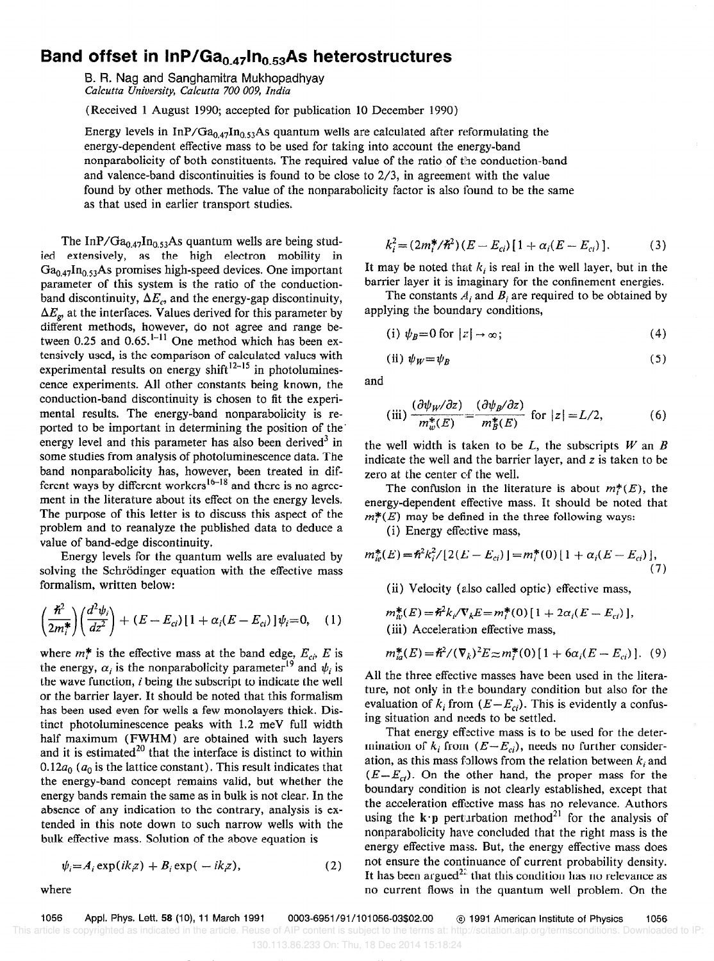## Band offset in  $InP/Ga_{0.47}In_{0.53}As$  heterostructures

B. R. Nag and Sanghamitra Mukhopadhyay Calcutta University, Calcutta 700 009, India

(Received 1 August 1990; accepted for publication 10 December 1990)

Energy levels in InP/Ga<sub>0.47</sub>In<sub>0.53</sub>As quantum wells are calculated after reformulating the energy-dependent effective mass to be used for taking into account the energy-band nonparabolicity of both constituents. The required value of the ratio of the conduction-band and valence-band discontinuities is found to be close to 2/3, in agreement with the value found by other methods. The value of the nonparabolicity factor is also found to be the same as that used in earlier transport studies.

The InP/ $Ga_{0.47}$ In<sub>0.53</sub>As quantum wells are being studied extensively, as the high electron mobility in  $Ga<sub>0.47</sub>In<sub>0.53</sub> As promises high-speed devices. One important$ parameter of this system is the ratio of the conductionband discontinuity,  $\Delta E_c$ , and the energy-gap discontinuity,  $\Delta E_{\rm g}$ , at the interfaces. Values derived for this parameter by different methods, however, do not agree and range between 0.25 and 0.65.'-" One method which has been extensively used, is the comparison of calculated values with experimental results on energy shift<sup>12-15</sup> in photoluminescence experiments. All other constants being known, the conduction-band discontinuity is chosen to fit the experimental results. The energy-band nonparabolicity is reported to be important in determining the position of the energy level and this parameter has also been derived<sup>3</sup> in some studies from analysis of photoluminescence data. The band nonparabolicity has, however, been treated in different ways by different workers<sup>16-18</sup> and there is no agreement in the literature about its effect on the energy levels. The purpose of this letter is to discuss this aspect of the problem and to reanalyze the published data to deduce a value of band-edge discontinuity.

Energy levels for the quantum wells are evaluated by solving the Schrödinger equation with the effective mass formalism, written below:

$$
\left(\frac{\hbar^2}{2m_i^*}\right)\left(\frac{d^2\psi_i}{dz^2}\right) + (E - E_{ci})\left[1 + \alpha_i(E - E_{ci})\right]\psi_i = 0, \quad (1)
$$

where  $m^*$  is the effective mass at the band edge,  $E_{c}$ , E is the energy,  $\alpha_i$  is the nonparabolicity parameter<sup>19</sup> and  $\psi_i$  is the wave function, i being the subscript to indicate the well or the barrier layer, It should be noted that this formalism has been used even for wells a few monolayers thick. Distinct photoluminescence peaks with 1.2 meV full width half maximum (FWHM) are obtained with such layers and it is estimated $^{20}$  that the interface is distinct to within 0.12 $a_0$  ( $a_0$  is the lattice constant). This result indicates that the energy-band concept remains valid, but whether the energy bands remain the same as in bulk is not clear. In the absence of any indication to the contrary, analysis is extended in this note down to such narrow wells with the bulk effective mass. Solution of the above equation is

$$
\psi_i = A_i \exp(ikz) + B_i \exp(-ikz), \qquad (2)
$$

where

$$
k_i^2 = (2m_i^*/\hbar^2)(E - E_{ci})[1 + \alpha_i(E - E_{ci})].
$$
 (3)

It may be noted that  $k_i$  is real in the well layer, but in the barrier layer it is imaginary for the confinement energies.

The constants  $A_i$  and  $B_i$  are required to be obtained by applying the boundary conditions,

(i) 
$$
\psi_B = 0
$$
 for  $|z| \to \infty$ ; (4)

(ii) 
$$
\psi_W = \psi_B \tag{5}
$$

and

(iii) 
$$
\frac{(\partial \psi_{W}/\partial z)}{m_{w}^{*}(E)} = \frac{(\partial \psi_{B}/\partial z)}{m_{B}^{*}(E)}
$$
 for  $|z| = L/2,$  (6)

the well width is taken to be  $L$ , the subscripts  $W$  an  $B$ indicate the well and the barrier layer, and z is taken to be zero at the center of the well.

The confusion in the literature is about  $m^*(E)$ , the energy-dependent effective mass. It should be noted that  $m^*(E)$  may be defined in the three following ways:

(i) Energy effective mass,

$$
m_{ie}^{*}(E) = \hbar^{2}k_{i}^{2}/[2(E - E_{ci})] = m_{i}^{*}(0)[1 + \alpha_{i}(E - E_{ci})],
$$
\n(7)

(ii) Velocity (also called optic) effective mass,

$$
m_w^*(E) = \frac{\hbar^2 k}{\nabla_k E} = m_i^*(0) \left[ 1 + 2\alpha_i (E - E_{ci}) \right],
$$
  
(iii) Acceleration effective mass,

$$
m_{ia}^{*}(E) = \hbar^{2}/(\nabla_{k})^{2}E \approx m_{i}^{*}(0)[1 + 6\alpha_{i}(E - E_{ci})].
$$
 (9)

All the three effective masses have been used in the literature, not only in the boundary condition but also for the evaluation of  $k_i$  from  $(E - E_{ci})$ . This is evidently a confusing situation and needs to be settled.

That energy effective mass is to be used for the determination of  $k_i$  from  $(E-E_{ci})$ , needs no further consideration, as this mass follows from the relation between  $k_i$  and  $(E-E_{ci})$ . On the other hand, the proper mass for the boundary condition is not clearly established, except that the acceleration effective mass has no relevance. Authors using the k $\cdot$ p perturbation method<sup>21</sup> for the analysis of nonparabolicity have concluded that the right mass is the energy effective mass. But, the energy effective mass does not ensure the continuance of current probability density. It has been argued<sup>22</sup> that this condition has no relevance as no current flows in the quantum well problem. On the

1056 Appl. Phys. Lett. 58 (lo), 11 March 1991 0003-6951/91/101056-03\$02.00 @ 1991 American institute of Physics 1056 This article is copyrighted as indicated in the article. Reuse of AIP content is subject to the terms at: http://scitation.aip.org/termsconditions. Downloaded to IP: 130.113.86.233 On: Thu, 18 Dec 2014 15:18:24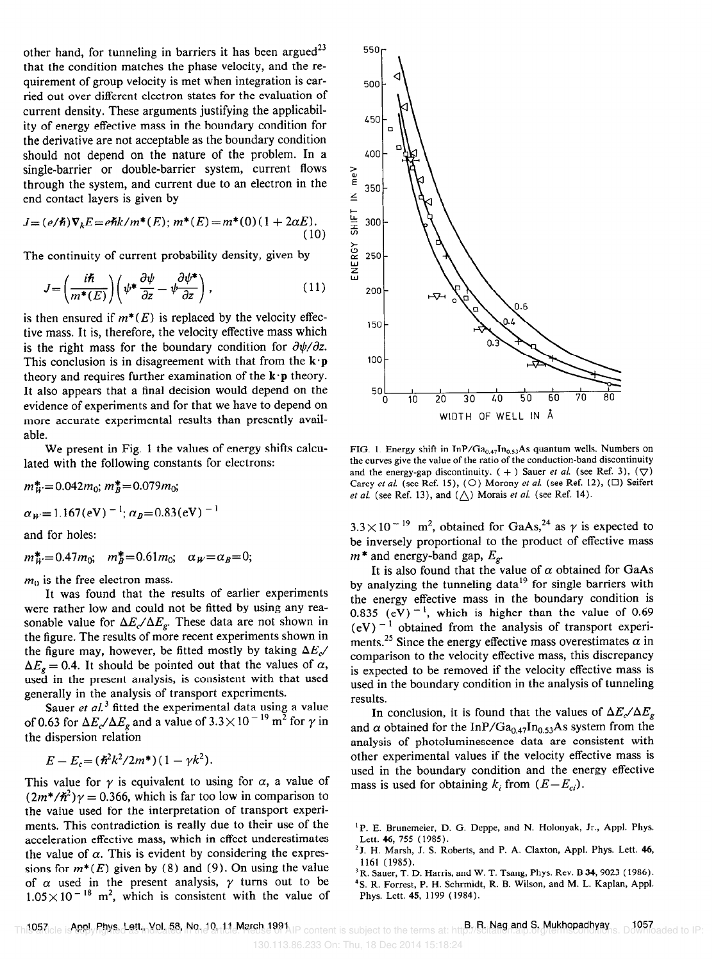other hand, for tunneling in barriers it has been argued<sup>23</sup> that the condition matches the phase velocity, and the requirement of group velocity is met when integration is carried out over different electron states for the evaluation of current density. These arguments justifying the applicability of energy effective mass in the boundary condition for the derivative are not acceptable as the boundary condition should not depend on the nature of the problem. In a single-barrier or double-barrier system, current flows through the system, and current due to an electron in the end contact layers is given by

$$
J = (e/\hbar)\nabla_k E = e\hbar k/m^*(E); m^*(E) = m^*(0)(1 + 2\alpha E).
$$
\n(10)

The continuity of current probability density, given by

$$
J = \left(\frac{i\hbar}{m^*(E)}\right) \left(\psi^* \frac{\partial \psi}{\partial z} - \psi \frac{\partial \psi^*}{\partial z}\right),\tag{11}
$$

is then ensured if  $m^*(E)$  is replaced by the velocity effective mass. It is, therefore, the velocity effective mass which is the right mass for the boundary condition for  $\frac{\partial \psi}{\partial z}$ . This conclusion is in disagreement with that from the  $\mathbf{k} \cdot \mathbf{p}$ theory and requires further examination of the  $\mathbf{k} \cdot \mathbf{p}$  theory. It also appears that a final decision would depend on the evidence of experiments and for that we have to depend on more accurate experimental results than presently available.

We present in Fig. 1 the values of energy shifts calculated with the following constants for electrons:

$$
m_W^* = 0.042m_0
$$
;  $m_B^* = 0.079m_0$ ;

$$
\alpha_W
$$
 = 1.167(eV)  $^{-1}$ ;  $\alpha_B$ =0.83(eV)  $^{-1}$ 

and for holes:

$$
m_W^* = 0.47m_0
$$
;  $m_B^* = 0.61m_0$ ;  $\alpha_W = \alpha_B = 0$ ;

 $m<sub>0</sub>$  is the free electron mass.

It was found that the results of earlier experiments were rather low and could not be fitted by using any reasonable value for  $\Delta E_c/\Delta E_g$ . These data are not shown in the figure. The results of more recent experiments shown in the figure may, however, be fitted mostly by taking  $\Delta E_c$  $\Delta E_{\varphi} = 0.4$ . It should be pointed out that the values of  $\alpha$ , used in the present analysis, is consistent with that used generally in the analysis of transport experiments.

Sauer et al.<sup>3</sup> fitted the experimental data using a value of 0.63 for  $\Delta E_c/\Delta E_g$  and a value of 3.3  $\times$  10<sup>-19</sup> m<sup>2</sup> for  $\gamma$  in the dispersion relation

$$
E - E_c = (\hbar^2 k^2 / 2m^*) (1 - \gamma k^2).
$$

This value for  $\gamma$  is equivalent to using for  $\alpha$ , a value of  $(2m^*/\hbar^2)\gamma = 0.366$ , which is far too low in comparison to the value used for the interpretation of transport experiments. This contradiction is really due to their use of the acceleration effective mass, which in effect underestimates the value of  $\alpha$ . This is evident by considering the expressions for  $m^*(E)$  given by (8) and (9). On using the value of  $\alpha$  used in the present analysis,  $\gamma$  turns out to be  $1.05 \times 10^{-18}$  m<sup>2</sup>, which is consistent with the value of



FIG. 1. Energy shift in InP/Ga<sub>0.47</sub>In<sub>0.53</sub>As quantum wells. Numbers on the curves give the value of the ratio of the conduction-band discontinuity and the energy-gap discontinuity. ( + ) Sauer et al. (see Ref. 3),  $(\bigtriangledown)$ Carey et al. (see Ref. 15), (O) Morony et al. (see Ref. 12), ( $\square$ ) Seifert *et al.* (see Ref. 13), and  $(\triangle)$  Morais *et al.* (see Ref. 14).

 $3.3 \times 10^{-19}$  m<sup>2</sup>, obtained for GaAs,<sup>24</sup> as  $\gamma$  is expected to be inversely proportional to the product of effective mass  $m^*$  and energy-band gap,  $E_{\varrho}$ .

It is also found that the value of  $\alpha$  obtained for GaAs by analyzing the tunneling data<sup>19</sup> for single barriers with the energy effective mass in the boundary condition is 0.835 (eV)<sup> $-1$ </sup>, which is higher than the value of 0.69  $(eV)^{-1}$  obtained from the analysis of transport experiments.<sup>25</sup> Since the energy effective mass overestimates  $\alpha$  in comparison to the velocity effective mass, this discrepancy is expected to be removed if the velocity effective mass is used in the boundary condition in the analysis of tunneling results.

In conclusion, it is found that the values of  $\Delta E_c / \Delta E_g$ and  $\alpha$  obtained for the InP/Ga<sub>0.47</sub>In<sub>0.53</sub>As system from the analysis of photoluminescence data are consistent with other experimental values if the velocity effective mass is used in the boundary condition and the energy effective mass is used for obtaining  $k_i$  from  $(E - E_{ci})$ .

1057 Appt. Phys. Lett., Vol. 58, No. 10, 11 March 1991 B. R. Nag and S. Mukhopadhyay 1057 This article is copyrighted as indicated in the article. Reuse of AIP content is subject to the terms at: http://scitation.aip.org/termsconditions. Downloaded to IP:

<sup>&#</sup>x27;P. E. Brunemeier, D. G. Deppe, and N. Holonyak, Jr., Appl. Phys. Lett. 46, 755 (1985).

<sup>&</sup>lt;sup>2</sup> J. H. Marsh, J. S. Roberts, and P. A. Claxton, Appl. Phys. Lett. 46, 1161 (1985).

<sup>&</sup>lt;sup>3</sup> R. Sauer, T. D. Harris, and W. T. Tsang, Phys. Rev. B 34, 9023 (1986).

<sup>4</sup>S. R. Forrest, P. H. Schrmidt, R. B. Wilson, and M. L. Kaplan, Appl. Phys. Lett. 45, 1199 (1984).